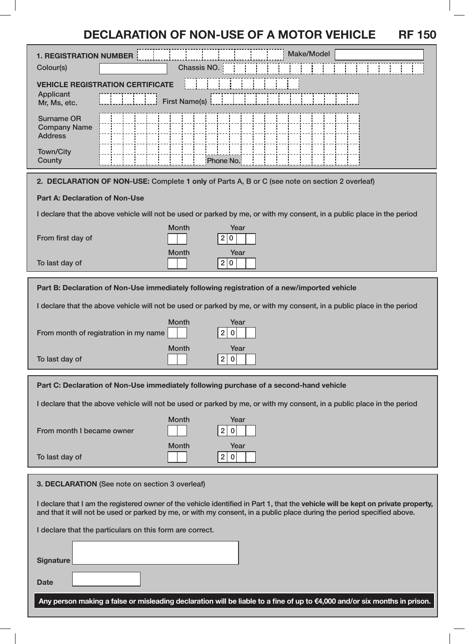# **DECLARATION OF NON-USE OF A MOTOR VEHICLE RF 150**

| <b>1. REGISTRATION NUMBER</b>                                                                                                                                                                                                                              | <b>Make/Model</b>                                   |
|------------------------------------------------------------------------------------------------------------------------------------------------------------------------------------------------------------------------------------------------------------|-----------------------------------------------------|
| Colour(s)                                                                                                                                                                                                                                                  | Chassis NO.                                         |
| <b>VEHICLE REGISTRATION</b><br>ERTIFICATE<br>Applicant<br><b>First Name(s)</b><br>Mr, Ms, etc.                                                                                                                                                             |                                                     |
| <b>Surname OR</b><br><b>Company Name</b><br><b>Address</b>                                                                                                                                                                                                 |                                                     |
| <b>Town/City</b><br>County                                                                                                                                                                                                                                 | Phone No.                                           |
| 2. DECLARATION OF NON-USE: Complete 1 only of Parts A, B or C (see note on section 2 overleaf)                                                                                                                                                             |                                                     |
| <b>Part A: Declaration of Non-Use</b>                                                                                                                                                                                                                      |                                                     |
| I declare that the above vehicle will not be used or parked by me, or with my consent, in a public place in the period                                                                                                                                     |                                                     |
| From first day of                                                                                                                                                                                                                                          | <b>Month</b><br>Year<br>2 <sub>1</sub><br>0         |
| To last day of                                                                                                                                                                                                                                             | Month<br>Year<br>2 <br>0                            |
| Part B: Declaration of Non-Use immediately following registration of a new/imported vehicle                                                                                                                                                                |                                                     |
| I declare that the above vehicle will not be used or parked by me, or with my consent, in a public place in the period                                                                                                                                     |                                                     |
| From month of registration in my name                                                                                                                                                                                                                      | <b>Month</b><br>Year<br>$\overline{2}$<br>$\pmb{0}$ |
| To last day of                                                                                                                                                                                                                                             | <b>Month</b><br>Year<br>$\overline{2}$<br>0         |
| Part C: Declaration of Non-Use immediately following purchase of a second-hand vehicle                                                                                                                                                                     |                                                     |
| I declare that the above vehicle will not be used or parked by me, or with my consent, in a public place in the period                                                                                                                                     |                                                     |
| From month I became owner                                                                                                                                                                                                                                  | <b>Month</b><br>Year<br>2 <br>$\bf{0}$              |
| To last day of                                                                                                                                                                                                                                             | Month<br>Year<br>2 <br>$\mathbf 0$                  |
| 3. DECLARATION (See note on section 3 overleaf)                                                                                                                                                                                                            |                                                     |
| I declare that I am the registered owner of the vehicle identified in Part 1, that the vehicle will be kept on private property,<br>and that it will not be used or parked by me, or with my consent, in a public place during the period specified above. |                                                     |
| I declare that the particulars on this form are correct.                                                                                                                                                                                                   |                                                     |
|                                                                                                                                                                                                                                                            |                                                     |
| <b>Signature</b>                                                                                                                                                                                                                                           |                                                     |
| <b>Date</b>                                                                                                                                                                                                                                                |                                                     |
| Any person making a false or misleading declaration will be liable to a fine of up to €4,000 and/or six months in prison.                                                                                                                                  |                                                     |